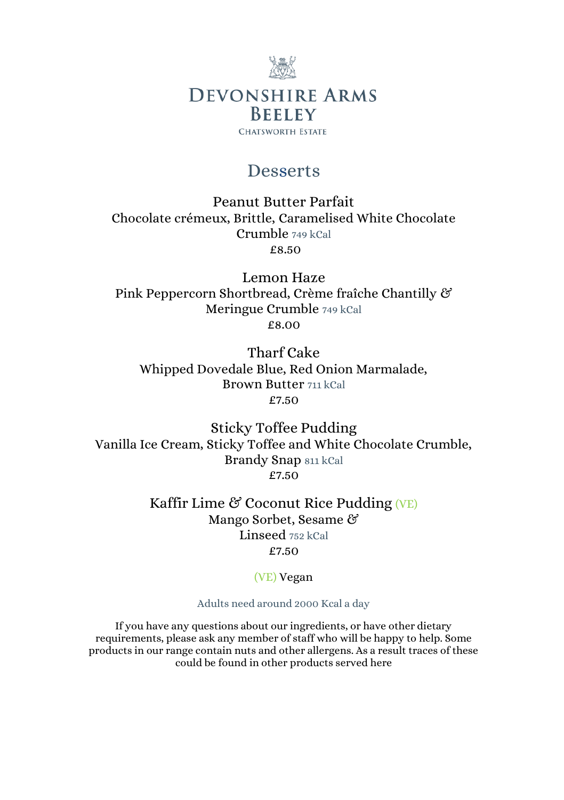

## Desserts

Peanut Butter Parfait Chocolate crémeux, Brittle, Caramelised White Chocolate Crumble 749 kCal £8.50

Lemon Haze Pink Peppercorn Shortbread, Crème fraîche Chantilly & Meringue Crumble 749 kCal £8.00

Tharf Cake Whipped Dovedale Blue, Red Onion Marmalade, Brown Butter 711 kCal £7.50

Sticky Toffee Pudding Vanilla Ice Cream, Sticky Toffee and White Chocolate Crumble, Brandy Snap 811 kCal £7.50

> Kaffir Lime  $\mathfrak{G}$  Coconut Rice Pudding (VE) Mango Sorbet, Sesame & Linseed 752 kCal £7.50

> > (VE) Vegan

Adults need around 2000 Kcal a day

If you have any questions about our ingredients, or have other dietary requirements, please ask any member of staff who will be happy to help. Some products in our range contain nuts and other allergens. As a result traces of these could be found in other products served here